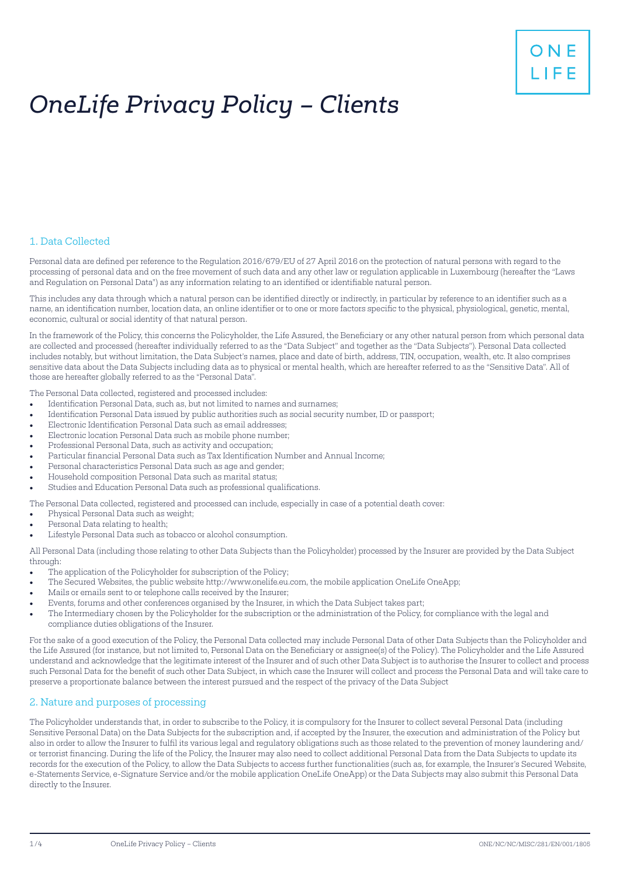# *OneLife Privacy Policy – Clients*

# 1. Data Collected

Personal data are defined per reference to the Regulation 2016/679/EU of 27 April 2016 on the protection of natural persons with regard to the processing of personal data and on the free movement of such data and any other law or regulation applicable in Luxembourg (hereafter the "Laws and Regulation on Personal Data") as any information relating to an identified or identifiable natural person.

This includes any data through which a natural person can be identified directly or indirectly, in particular by reference to an identifier such as a name, an identification number, location data, an online identifier or to one or more factors specific to the physical, physiological, genetic, mental, economic, cultural or social identity of that natural person.

In the framework of the Policy, this concerns the Policyholder, the Life Assured, the Beneficiary or any other natural person from which personal data are collected and processed (hereafter individually referred to as the "Data Subject" and together as the "Data Subjects"). Personal Data collected includes notably, but without limitation, the Data Subject's names, place and date of birth, address, TIN, occupation, wealth, etc. It also comprises sensitive data about the Data Subjects including data as to physical or mental health, which are hereafter referred to as the "Sensitive Data". All of those are hereafter globally referred to as the "Personal Data".

The Personal Data collected, registered and processed includes:

- Identification Personal Data, such as, but not limited to names and surnames;
- Identification Personal Data issued by public authorities such as social security number, ID or passport;
- Electronic Identification Personal Data such as email addresses;
- Electronic location Personal Data such as mobile phone number;
- Professional Personal Data, such as activity and occupation;
- Particular financial Personal Data such as Tax Identification Number and Annual Income;
- Personal characteristics Personal Data such as age and gender;
- Household composition Personal Data such as marital status;
- Studies and Education Personal Data such as professional qualifications.

The Personal Data collected, registered and processed can include, especially in case of a potential death cover:

- Physical Personal Data such as weight;
- Personal Data relating to health;
- Lifestyle Personal Data such as tobacco or alcohol consumption.

All Personal Data (including those relating to other Data Subjects than the Policyholder) processed by the Insurer are provided by the Data Subject through:

- The application of the Policyholder for subscription of the Policy;
- The Secured Websites, the public website http://www.onelife.eu.com, the mobile application OneLife OneApp;
- Mails or emails sent to or telephone calls received by the Insurer;
- Events, forums and other conferences organised by the Insurer, in which the Data Subject takes part;
- The Intermediary chosen by the Policyholder for the subscription or the administration of the Policy, for compliance with the legal and compliance duties obligations of the Insurer.

For the sake of a good execution of the Policy, the Personal Data collected may include Personal Data of other Data Subjects than the Policyholder and the Life Assured (for instance, but not limited to, Personal Data on the Beneficiary or assignee(s) of the Policy). The Policyholder and the Life Assured understand and acknowledge that the legitimate interest of the Insurer and of such other Data Subject is to authorise the Insurer to collect and process such Personal Data for the benefit of such other Data Subject, in which case the Insurer will collect and process the Personal Data and will take care to preserve a proportionate balance between the interest pursued and the respect of the privacy of the Data Subject

# 2. Nature and purposes of processing

The Policyholder understands that, in order to subscribe to the Policy, it is compulsory for the Insurer to collect several Personal Data (including Sensitive Personal Data) on the Data Subjects for the subscription and, if accepted by the Insurer, the execution and administration of the Policy but also in order to allow the Insurer to fulfil its various legal and regulatory obligations such as those related to the prevention of money laundering and/ or terrorist financing. During the life of the Policy, the Insurer may also need to collect additional Personal Data from the Data Subjects to update its records for the execution of the Policy, to allow the Data Subjects to access further functionalities (such as, for example, the Insurer's Secured Website, e-Statements Service, e-Signature Service and/or the mobile application OneLife OneApp) or the Data Subjects may also submit this Personal Data directly to the Insurer.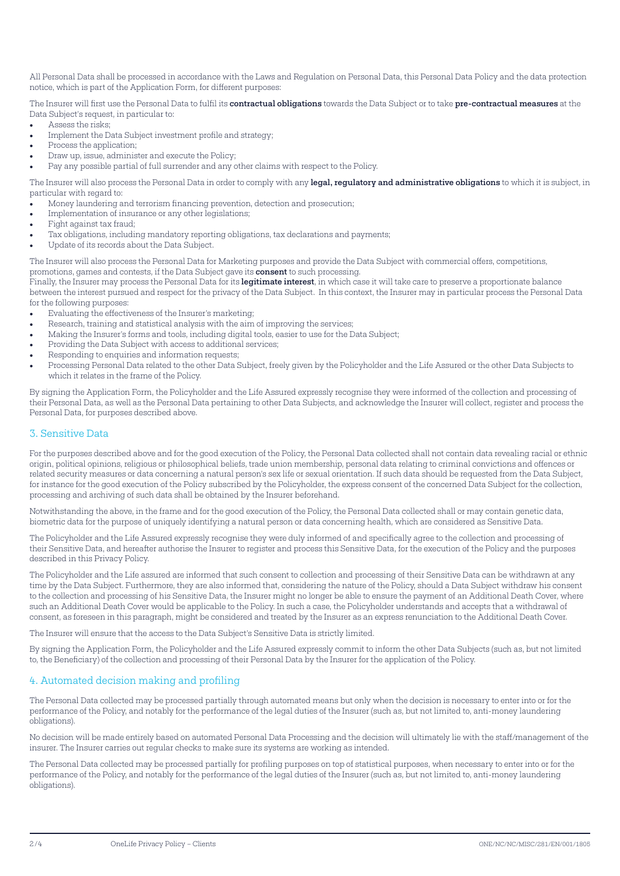All Personal Data shall be processed in accordance with the Laws and Regulation on Personal Data, this Personal Data Policy and the data protection notice, which is part of the Application Form, for different purposes:

The Insurer will first use the Personal Data to fulfil its contractual obligations towards the Data Subject or to take pre-contractual measures at the Data Subject's request, in particular to:

- Assess the risks;
- Implement the Data Subject investment profile and strategy;
- Process the application;
- Draw up, issue, administer and execute the Policy;
- Pay any possible partial of full surrender and any other claims with respect to the Policy.

The Insurer will also process the Personal Data in order to comply with any legal, regulatory and administrative obligations to which it is subject, in particular with regard to:

- Money laundering and terrorism financing prevention, detection and prosecution;
- Implementation of insurance or any other legislations;
- Fight against tax fraud;
- Tax obligations, including mandatory reporting obligations, tax declarations and payments;
- Update of its records about the Data Subject.

The Insurer will also process the Personal Data for Marketing purposes and provide the Data Subject with commercial offers, competitions, promotions, games and contests, if the Data Subject gave its consent to such processing.

Finally, the Insurer may process the Personal Data for its legitimate interest, in which case it will take care to preserve a proportionate balance between the interest pursued and respect for the privacy of the Data Subject. In this context, the Insurer may in particular process the Personal Data for the following purposes:

- Evaluating the effectiveness of the Insurer's marketing;
- Research, training and statistical analysis with the aim of improving the services;
- Making the Insurer's forms and tools, including digital tools, easier to use for the Data Subject;
- Providing the Data Subject with access to additional services;
- Responding to enquiries and information requests;
- Processing Personal Data related to the other Data Subject, freely given by the Policyholder and the Life Assured or the other Data Subjects to which it relates in the frame of the Policy.

By signing the Application Form, the Policyholder and the Life Assured expressly recognise they were informed of the collection and processing of their Personal Data, as well as the Personal Data pertaining to other Data Subjects, and acknowledge the Insurer will collect, register and process the Personal Data, for purposes described above.

#### 3. Sensitive Data

For the purposes described above and for the good execution of the Policy, the Personal Data collected shall not contain data revealing racial or ethnic origin, political opinions, religious or philosophical beliefs, trade union membership, personal data relating to criminal convictions and offences or related security measures or data concerning a natural person's sex life or sexual orientation. If such data should be requested from the Data Subject, for instance for the good execution of the Policy subscribed by the Policyholder, the express consent of the concerned Data Subject for the collection, processing and archiving of such data shall be obtained by the Insurer beforehand.

Notwithstanding the above, in the frame and for the good execution of the Policy, the Personal Data collected shall or may contain genetic data, biometric data for the purpose of uniquely identifying a natural person or data concerning health, which are considered as Sensitive Data.

The Policyholder and the Life Assured expressly recognise they were duly informed of and specifically agree to the collection and processing of their Sensitive Data, and hereafter authorise the Insurer to register and process this Sensitive Data, for the execution of the Policy and the purposes described in this Privacy Policy.

The Policyholder and the Life assured are informed that such consent to collection and processing of their Sensitive Data can be withdrawn at any time by the Data Subject. Furthermore, they are also informed that, considering the nature of the Policy, should a Data Subject withdraw his consent to the collection and processing of his Sensitive Data, the Insurer might no longer be able to ensure the payment of an Additional Death Cover, where such an Additional Death Cover would be applicable to the Policy. In such a case, the Policyholder understands and accepts that a withdrawal of consent, as foreseen in this paragraph, might be considered and treated by the Insurer as an express renunciation to the Additional Death Cover.

The Insurer will ensure that the access to the Data Subject's Sensitive Data is strictly limited.

By signing the Application Form, the Policyholder and the Life Assured expressly commit to inform the other Data Subjects (such as, but not limited to, the Beneficiary) of the collection and processing of their Personal Data by the Insurer for the application of the Policy.

#### 4. Automated decision making and profiling

The Personal Data collected may be processed partially through automated means but only when the decision is necessary to enter into or for the performance of the Policy, and notably for the performance of the legal duties of the Insurer (such as, but not limited to, anti-money laundering obligations).

No decision will be made entirely based on automated Personal Data Processing and the decision will ultimately lie with the staff/management of the insurer. The Insurer carries out regular checks to make sure its systems are working as intended.

The Personal Data collected may be processed partially for profiling purposes on top of statistical purposes, when necessary to enter into or for the performance of the Policy, and notably for the performance of the legal duties of the Insurer (such as, but not limited to, anti-money laundering obligations).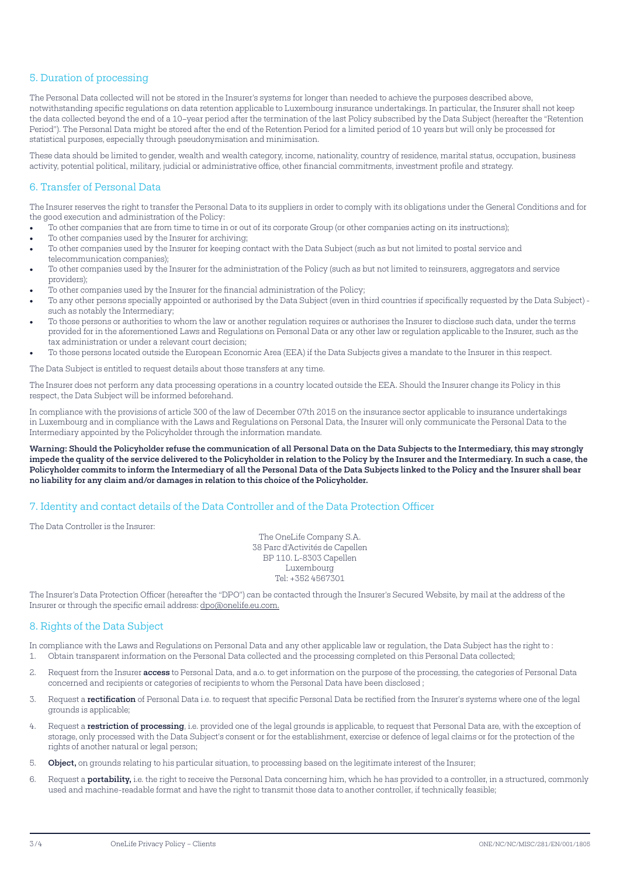### 5. Duration of processing

The Personal Data collected will not be stored in the Insurer's systems for longer than needed to achieve the purposes described above, notwithstanding specific regulations on data retention applicable to Luxembourg insurance undertakings. In particular, the Insurer shall not keep the data collected beyond the end of a 10–year period after the termination of the last Policy subscribed by the Data Subject (hereafter the "Retention Period"). The Personal Data might be stored after the end of the Retention Period for a limited period of 10 years but will only be processed for statistical purposes, especially through pseudonymisation and minimisation.

These data should be limited to gender, wealth and wealth category, income, nationality, country of residence, marital status, occupation, business activity, potential political, military, judicial or administrative office, other financial commitments, investment profile and strategy.

## 6. Transfer of Personal Data

The Insurer reserves the right to transfer the Personal Data to its suppliers in order to comply with its obligations under the General Conditions and for the good execution and administration of the Policy:

- To other companies that are from time to time in or out of its corporate Group (or other companies acting on its instructions);
- To other companies used by the Insurer for archiving;
- To other companies used by the Insurer for keeping contact with the Data Subject (such as but not limited to postal service and telecommunication companies);
- To other companies used by the Insurer for the administration of the Policy (such as but not limited to reinsurers, aggregators and service providers);
- To other companies used by the Insurer for the financial administration of the Policy;
- To any other persons specially appointed or authorised by the Data Subject (even in third countries if specifically requested by the Data Subject) such as notably the Intermediary;
- To those persons or authorities to whom the law or another regulation requires or authorises the Insurer to disclose such data, under the terms provided for in the aforementioned Laws and Regulations on Personal Data or any other law or regulation applicable to the Insurer, such as the tax administration or under a relevant court decision;
- To those persons located outside the European Economic Area (EEA) if the Data Subjects gives a mandate to the Insurer in this respect.

The Data Subject is entitled to request details about those transfers at any time.

The Insurer does not perform any data processing operations in a country located outside the EEA. Should the Insurer change its Policy in this respect, the Data Subject will be informed beforehand.

In compliance with the provisions of article 300 of the law of December 07th 2015 on the insurance sector applicable to insurance undertakings in Luxembourg and in compliance with the Laws and Regulations on Personal Data, the Insurer will only communicate the Personal Data to the Intermediary appointed by the Policyholder through the information mandate.

Warning: Should the Policyholder refuse the communication of all Personal Data on the Data Subjects to the Intermediary, this may strongly impede the quality of the service delivered to the Policyholder in relation to the Policy by the Insurer and the Intermediary. In such a case, the Policyholder commits to inform the Intermediary of all the Personal Data of the Data Subjects linked to the Policy and the Insurer shall bear no liability for any claim and/or damages in relation to this choice of the Policyholder.

## 7. Identity and contact details of the Data Controller and of the Data Protection Officer

The Data Controller is the Insurer:

The OneLife Company S.A. 38 Parc d'Activités de Capellen BP 110. L-8303 Capellen Luxembourg Tel: +352 4567301

The Insurer's Data Protection Officer (hereafter the "DPO") can be contacted through the Insurer's Secured Website, by mail at the address of the Insurer or through the specific email address: dpo@onelife.eu.com.

#### 8. Rights of the Data Subject

In compliance with the Laws and Regulations on Personal Data and any other applicable law or regulation, the Data Subject has the right to : 1. Obtain transparent information on the Personal Data collected and the processing completed on this Personal Data collected;

- 2. Request from the Insurer **access** to Personal Data, and a.o. to get information on the purpose of the processing, the categories of Personal Data concerned and recipients or categories of recipients to whom the Personal Data have been disclosed ;
- 3. Request a rectification of Personal Data i.e. to request that specific Personal Data be rectified from the Insurer's systems where one of the legal grounds is applicable;
- 4. Request a restriction of processing, i.e. provided one of the legal grounds is applicable, to request that Personal Data are, with the exception of storage, only processed with the Data Subject's consent or for the establishment, exercise or defence of legal claims or for the protection of the rights of another natural or legal person;
- 5. Object, on grounds relating to his particular situation, to processing based on the legitimate interest of the Insurer;
- 6. Request a **portability**, i.e. the right to receive the Personal Data concerning him, which he has provided to a controller, in a structured, commonly used and machine-readable format and have the right to transmit those data to another controller, if technically feasible;